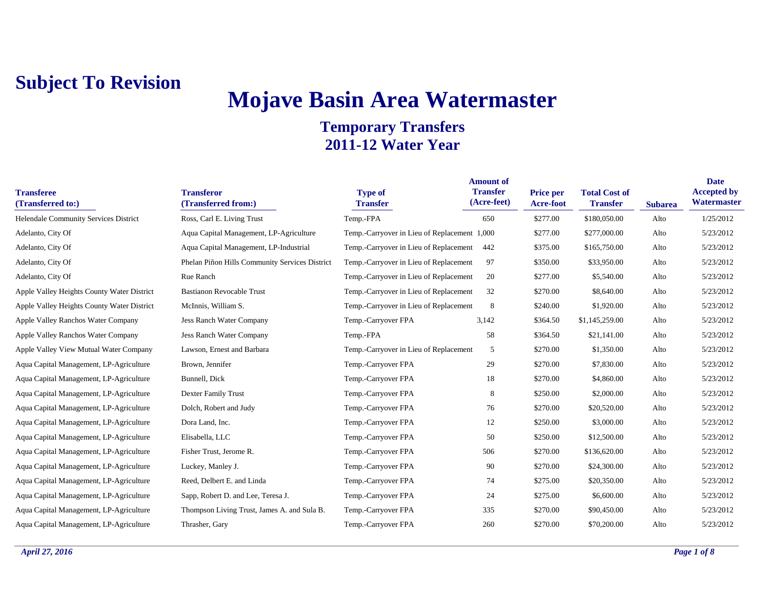# **Mojave Basin Area Watermaster**

| <b>Transferee</b><br>(Transferred to:)     | <b>Transferor</b><br>(Transferred from:)       | <b>Type of</b><br><b>Transfer</b>            | <b>Amount of</b><br><b>Transfer</b><br>(Acre-feet) | <b>Price per</b><br>Acre-foot | <b>Total Cost of</b><br><b>Transfer</b> | <b>Subarea</b> | <b>Date</b><br><b>Accepted by</b><br>Watermaster |
|--------------------------------------------|------------------------------------------------|----------------------------------------------|----------------------------------------------------|-------------------------------|-----------------------------------------|----------------|--------------------------------------------------|
| Helendale Community Services District      | Ross, Carl E. Living Trust                     | Temp.-FPA                                    | 650                                                | \$277.00                      | \$180,050.00                            | Alto           | 1/25/2012                                        |
| Adelanto, City Of                          | Aqua Capital Management, LP-Agriculture        | Temp.-Carryover in Lieu of Replacement 1,000 |                                                    | \$277.00                      | \$277,000.00                            | Alto           | 5/23/2012                                        |
| Adelanto, City Of                          | Aqua Capital Management, LP-Industrial         | Temp.-Carryover in Lieu of Replacement       | 442                                                | \$375.00                      | \$165,750.00                            | Alto           | 5/23/2012                                        |
| Adelanto, City Of                          | Phelan Piñon Hills Community Services District | Temp.-Carryover in Lieu of Replacement       | 97                                                 | \$350.00                      | \$33,950.00                             | Alto           | 5/23/2012                                        |
| Adelanto, City Of                          | Rue Ranch                                      | Temp.-Carryover in Lieu of Replacement       | 20                                                 | \$277.00                      | \$5,540.00                              | Alto           | 5/23/2012                                        |
| Apple Valley Heights County Water District | <b>Bastianon Revocable Trust</b>               | Temp.-Carryover in Lieu of Replacement       | 32                                                 | \$270.00                      | \$8,640.00                              | Alto           | 5/23/2012                                        |
| Apple Valley Heights County Water District | McInnis, William S.                            | Temp.-Carryover in Lieu of Replacement       | 8                                                  | \$240.00                      | \$1,920.00                              | Alto           | 5/23/2012                                        |
| Apple Valley Ranchos Water Company         | Jess Ranch Water Company                       | Temp.-Carryover FPA                          | 3,142                                              | \$364.50                      | \$1,145,259.00                          | Alto           | 5/23/2012                                        |
| Apple Valley Ranchos Water Company         | <b>Jess Ranch Water Company</b>                | Temp.-FPA                                    | 58                                                 | \$364.50                      | \$21,141.00                             | Alto           | 5/23/2012                                        |
| Apple Valley View Mutual Water Company     | Lawson, Ernest and Barbara                     | Temp.-Carryover in Lieu of Replacement       | 5                                                  | \$270.00                      | \$1,350.00                              | Alto           | 5/23/2012                                        |
| Aqua Capital Management, LP-Agriculture    | Brown, Jennifer                                | Temp.-Carryover FPA                          | 29                                                 | \$270.00                      | \$7,830.00                              | Alto           | 5/23/2012                                        |
| Aqua Capital Management, LP-Agriculture    | Bunnell, Dick                                  | Temp.-Carryover FPA                          | 18                                                 | \$270.00                      | \$4,860.00                              | Alto           | 5/23/2012                                        |
| Aqua Capital Management, LP-Agriculture    | <b>Dexter Family Trust</b>                     | Temp.-Carryover FPA                          | 8                                                  | \$250.00                      | \$2,000.00                              | Alto           | 5/23/2012                                        |
| Aqua Capital Management, LP-Agriculture    | Dolch, Robert and Judy                         | Temp.-Carryover FPA                          | 76                                                 | \$270.00                      | \$20,520.00                             | Alto           | 5/23/2012                                        |
| Aqua Capital Management, LP-Agriculture    | Dora Land, Inc.                                | Temp.-Carryover FPA                          | 12                                                 | \$250.00                      | \$3,000.00                              | Alto           | 5/23/2012                                        |
| Aqua Capital Management, LP-Agriculture    | Elisabella, LLC                                | Temp.-Carryover FPA                          | 50                                                 | \$250.00                      | \$12,500.00                             | Alto           | 5/23/2012                                        |
| Aqua Capital Management, LP-Agriculture    | Fisher Trust, Jerome R.                        | Temp.-Carryover FPA                          | 506                                                | \$270.00                      | \$136,620.00                            | Alto           | 5/23/2012                                        |
| Aqua Capital Management, LP-Agriculture    | Luckey, Manley J.                              | Temp.-Carryover FPA                          | 90                                                 | \$270.00                      | \$24,300.00                             | Alto           | 5/23/2012                                        |
| Aqua Capital Management, LP-Agriculture    | Reed, Delbert E. and Linda                     | Temp.-Carryover FPA                          | 74                                                 | \$275.00                      | \$20,350.00                             | Alto           | 5/23/2012                                        |
| Aqua Capital Management, LP-Agriculture    | Sapp, Robert D. and Lee, Teresa J.             | Temp.-Carryover FPA                          | 24                                                 | \$275.00                      | \$6,600.00                              | Alto           | 5/23/2012                                        |
| Aqua Capital Management, LP-Agriculture    | Thompson Living Trust, James A. and Sula B.    | Temp.-Carryover FPA                          | 335                                                | \$270.00                      | \$90,450.00                             | Alto           | 5/23/2012                                        |
| Aqua Capital Management, LP-Agriculture    | Thrasher, Gary                                 | Temp.-Carryover FPA                          | 260                                                | \$270.00                      | \$70,200.00                             | Alto           | 5/23/2012                                        |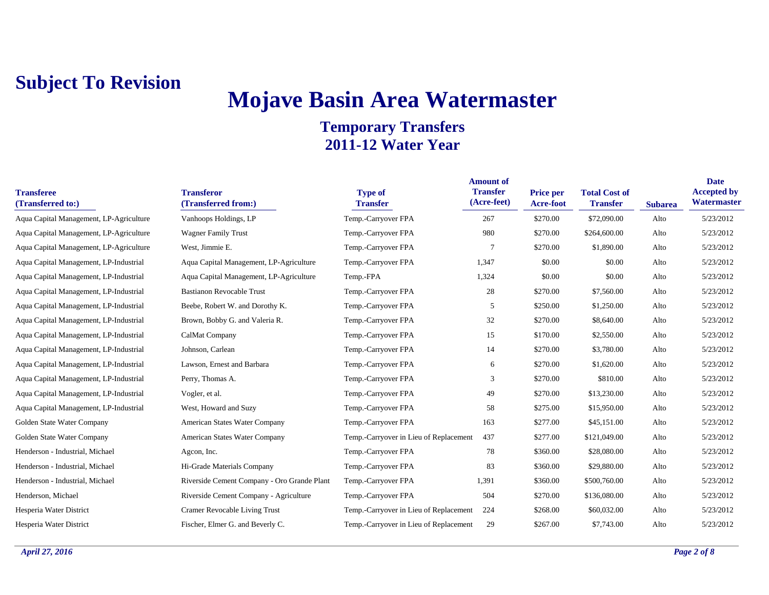# **Mojave Basin Area Watermaster**

| <b>Transferee</b><br>(Transferred to:)  | <b>Transferor</b><br>(Transferred from:)    | <b>Type of</b><br><b>Transfer</b>      | <b>Amount of</b><br><b>Transfer</b><br>(Acre-feet) | <b>Price per</b><br>Acre-foot | <b>Total Cost of</b><br><b>Transfer</b> | <b>Subarea</b> | <b>Date</b><br><b>Accepted by</b><br>Watermaster |
|-----------------------------------------|---------------------------------------------|----------------------------------------|----------------------------------------------------|-------------------------------|-----------------------------------------|----------------|--------------------------------------------------|
| Aqua Capital Management, LP-Agriculture | Vanhoops Holdings, LP                       | Temp.-Carryover FPA                    | 267                                                | \$270.00                      | \$72,090.00                             | Alto           | 5/23/2012                                        |
| Aqua Capital Management, LP-Agriculture | <b>Wagner Family Trust</b>                  | Temp.-Carryover FPA                    | 980                                                | \$270.00                      | \$264,600.00                            | Alto           | 5/23/2012                                        |
| Aqua Capital Management, LP-Agriculture | West, Jimmie E.                             | Temp.-Carryover FPA                    | 7                                                  | \$270.00                      | \$1,890.00                              | Alto           | 5/23/2012                                        |
| Aqua Capital Management, LP-Industrial  | Aqua Capital Management, LP-Agriculture     | Temp.-Carryover FPA                    | 1,347                                              | \$0.00                        | \$0.00                                  | Alto           | 5/23/2012                                        |
| Aqua Capital Management, LP-Industrial  | Aqua Capital Management, LP-Agriculture     | Temp.-FPA                              | 1,324                                              | \$0.00                        | \$0.00                                  | Alto           | 5/23/2012                                        |
| Aqua Capital Management, LP-Industrial  | <b>Bastianon Revocable Trust</b>            | Temp.-Carryover FPA                    | 28                                                 | \$270.00                      | \$7,560.00                              | Alto           | 5/23/2012                                        |
| Aqua Capital Management, LP-Industrial  | Beebe, Robert W. and Dorothy K.             | Temp.-Carryover FPA                    | 5                                                  | \$250.00                      | \$1,250.00                              | Alto           | 5/23/2012                                        |
| Aqua Capital Management, LP-Industrial  | Brown, Bobby G. and Valeria R.              | Temp.-Carryover FPA                    | 32                                                 | \$270.00                      | \$8,640.00                              | Alto           | 5/23/2012                                        |
| Aqua Capital Management, LP-Industrial  | CalMat Company                              | Temp.-Carryover FPA                    | 15                                                 | \$170.00                      | \$2,550.00                              | Alto           | 5/23/2012                                        |
| Aqua Capital Management, LP-Industrial  | Johnson, Carlean                            | Temp.-Carryover FPA                    | 14                                                 | \$270.00                      | \$3,780.00                              | Alto           | 5/23/2012                                        |
| Aqua Capital Management, LP-Industrial  | Lawson, Ernest and Barbara                  | Temp.-Carryover FPA                    | 6                                                  | \$270.00                      | \$1,620.00                              | Alto           | 5/23/2012                                        |
| Aqua Capital Management, LP-Industrial  | Perry, Thomas A.                            | Temp.-Carryover FPA                    | 3                                                  | \$270.00                      | \$810.00                                | Alto           | 5/23/2012                                        |
| Aqua Capital Management, LP-Industrial  | Vogler, et al.                              | Temp.-Carryover FPA                    | 49                                                 | \$270.00                      | \$13,230.00                             | Alto           | 5/23/2012                                        |
| Aqua Capital Management, LP-Industrial  | West, Howard and Suzy                       | Temp.-Carryover FPA                    | 58                                                 | \$275.00                      | \$15,950.00                             | Alto           | 5/23/2012                                        |
| Golden State Water Company              | American States Water Company               | Temp.-Carryover FPA                    | 163                                                | \$277.00                      | \$45,151.00                             | Alto           | 5/23/2012                                        |
| Golden State Water Company              | American States Water Company               | Temp.-Carryover in Lieu of Replacement | 437                                                | \$277.00                      | \$121,049.00                            | Alto           | 5/23/2012                                        |
| Henderson - Industrial, Michael         | Agcon, Inc.                                 | Temp.-Carryover FPA                    | 78                                                 | \$360.00                      | \$28,080.00                             | Alto           | 5/23/2012                                        |
| Henderson - Industrial, Michael         | Hi-Grade Materials Company                  | Temp.-Carryover FPA                    | 83                                                 | \$360.00                      | \$29,880.00                             | Alto           | 5/23/2012                                        |
| Henderson - Industrial, Michael         | Riverside Cement Company - Oro Grande Plant | Temp.-Carryover FPA                    | 1,391                                              | \$360.00                      | \$500,760.00                            | Alto           | 5/23/2012                                        |
| Henderson, Michael                      | Riverside Cement Company - Agriculture      | Temp.-Carryover FPA                    | 504                                                | \$270.00                      | \$136,080.00                            | Alto           | 5/23/2012                                        |
| Hesperia Water District                 | Cramer Revocable Living Trust               | Temp.-Carryover in Lieu of Replacement | 224                                                | \$268.00                      | \$60,032.00                             | Alto           | 5/23/2012                                        |
| Hesperia Water District                 | Fischer, Elmer G. and Beverly C.            | Temp.-Carryover in Lieu of Replacement | 29                                                 | \$267.00                      | \$7,743.00                              | Alto           | 5/23/2012                                        |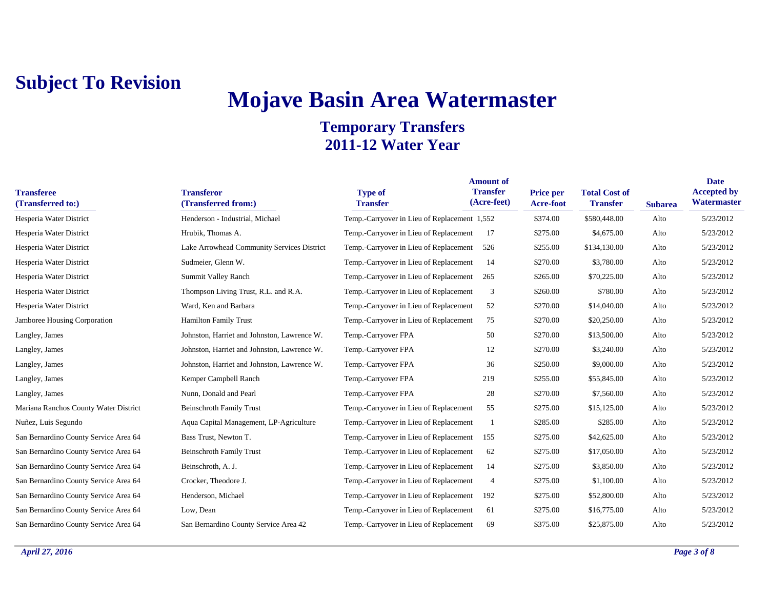# **Mojave Basin Area Watermaster**

| <b>Transferee</b><br>(Transferred to:) | <b>Transferor</b><br>(Transferred from:)    | <b>Type of</b><br><b>Transfer</b>            | <b>Amount of</b><br><b>Transfer</b><br>(Acre-feet) | Price per<br>Acre-foot | <b>Total Cost of</b><br><b>Transfer</b> | <b>Subarea</b> | <b>Date</b><br><b>Accepted by</b><br>Watermaster |
|----------------------------------------|---------------------------------------------|----------------------------------------------|----------------------------------------------------|------------------------|-----------------------------------------|----------------|--------------------------------------------------|
| Hesperia Water District                | Henderson - Industrial, Michael             | Temp.-Carryover in Lieu of Replacement 1,552 |                                                    | \$374.00               | \$580,448.00                            | Alto           | 5/23/2012                                        |
| Hesperia Water District                | Hrubik, Thomas A.                           | Temp.-Carryover in Lieu of Replacement       | 17                                                 | \$275.00               | \$4,675.00                              | Alto           | 5/23/2012                                        |
| Hesperia Water District                | Lake Arrowhead Community Services District  | Temp.-Carryover in Lieu of Replacement       | 526                                                | \$255.00               | \$134,130.00                            | Alto           | 5/23/2012                                        |
| Hesperia Water District                | Sudmeier, Glenn W.                          | Temp.-Carryover in Lieu of Replacement       | 14                                                 | \$270.00               | \$3,780.00                              | Alto           | 5/23/2012                                        |
| Hesperia Water District                | Summit Valley Ranch                         | Temp.-Carryover in Lieu of Replacement       | 265                                                | \$265.00               | \$70,225.00                             | Alto           | 5/23/2012                                        |
| Hesperia Water District                | Thompson Living Trust, R.L. and R.A.        | Temp.-Carryover in Lieu of Replacement       | 3                                                  | \$260.00               | \$780.00                                | Alto           | 5/23/2012                                        |
| Hesperia Water District                | Ward, Ken and Barbara                       | Temp.-Carryover in Lieu of Replacement       | 52                                                 | \$270.00               | \$14,040.00                             | Alto           | 5/23/2012                                        |
| <b>Jamboree Housing Corporation</b>    | <b>Hamilton Family Trust</b>                | Temp.-Carryover in Lieu of Replacement       | 75                                                 | \$270.00               | \$20,250.00                             | Alto           | 5/23/2012                                        |
| Langley, James                         | Johnston, Harriet and Johnston, Lawrence W. | Temp.-Carryover FPA                          | 50                                                 | \$270.00               | \$13,500.00                             | Alto           | 5/23/2012                                        |
| Langley, James                         | Johnston, Harriet and Johnston, Lawrence W. | Temp.-Carryover FPA                          | 12                                                 | \$270.00               | \$3,240.00                              | Alto           | 5/23/2012                                        |
| Langley, James                         | Johnston, Harriet and Johnston, Lawrence W. | Temp.-Carryover FPA                          | 36                                                 | \$250.00               | \$9,000.00                              | Alto           | 5/23/2012                                        |
| Langley, James                         | Kemper Campbell Ranch                       | Temp.-Carryover FPA                          | 219                                                | \$255.00               | \$55,845.00                             | Alto           | 5/23/2012                                        |
| Langley, James                         | Nunn, Donald and Pearl                      | Temp.-Carryover FPA                          | 28                                                 | \$270.00               | \$7,560.00                              | Alto           | 5/23/2012                                        |
| Mariana Ranchos County Water District  | <b>Beinschroth Family Trust</b>             | Temp.-Carryover in Lieu of Replacement       | 55                                                 | \$275.00               | \$15,125.00                             | Alto           | 5/23/2012                                        |
| Nuñez, Luis Segundo                    | Aqua Capital Management, LP-Agriculture     | Temp.-Carryover in Lieu of Replacement       |                                                    | \$285.00               | \$285.00                                | Alto           | 5/23/2012                                        |
| San Bernardino County Service Area 64  | Bass Trust, Newton T.                       | Temp.-Carryover in Lieu of Replacement       | 155                                                | \$275.00               | \$42,625.00                             | Alto           | 5/23/2012                                        |
| San Bernardino County Service Area 64  | <b>Beinschroth Family Trust</b>             | Temp.-Carryover in Lieu of Replacement       | 62                                                 | \$275.00               | \$17,050.00                             | Alto           | 5/23/2012                                        |
| San Bernardino County Service Area 64  | Beinschroth, A. J.                          | Temp.-Carryover in Lieu of Replacement       | 14                                                 | \$275.00               | \$3,850.00                              | Alto           | 5/23/2012                                        |
| San Bernardino County Service Area 64  | Crocker, Theodore J.                        | Temp.-Carryover in Lieu of Replacement       | 4                                                  | \$275.00               | \$1,100.00                              | Alto           | 5/23/2012                                        |
| San Bernardino County Service Area 64  | Henderson, Michael                          | Temp.-Carryover in Lieu of Replacement       | 192                                                | \$275.00               | \$52,800.00                             | Alto           | 5/23/2012                                        |
| San Bernardino County Service Area 64  | Low, Dean                                   | Temp.-Carryover in Lieu of Replacement       | 61                                                 | \$275.00               | \$16,775.00                             | Alto           | 5/23/2012                                        |
| San Bernardino County Service Area 64  | San Bernardino County Service Area 42       | Temp.-Carryover in Lieu of Replacement       | 69                                                 | \$375.00               | \$25,875.00                             | Alto           | 5/23/2012                                        |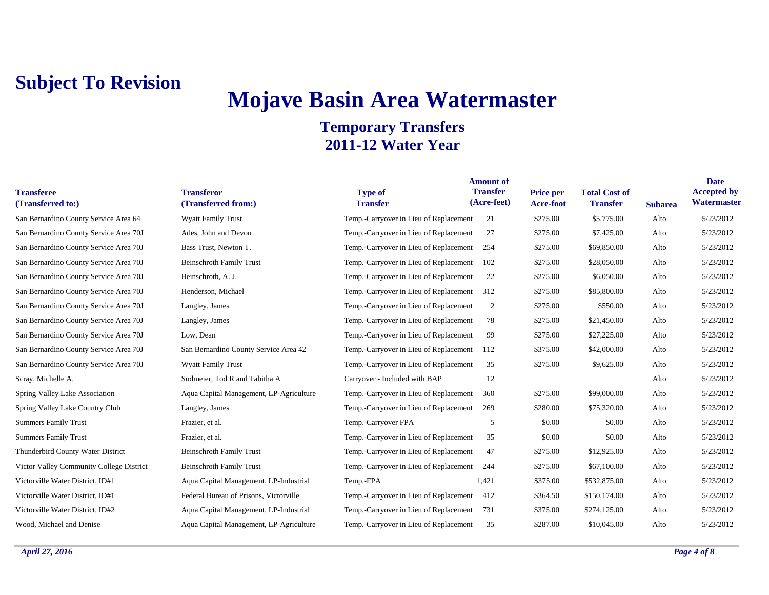# **Mojave Basin Area Watermaster**

| <b>Transferee</b><br>(Transferred to:)   | <b>Transferor</b><br>(Transferred from:) | <b>Type of</b><br><b>Transfer</b>      | <b>Amount of</b><br><b>Transfer</b><br>(Acre-feet) | <b>Price per</b><br>Acre-foot | <b>Total Cost of</b><br><b>Transfer</b> | <b>Subarea</b> | <b>Date</b><br><b>Accepted by</b><br>Watermaster |
|------------------------------------------|------------------------------------------|----------------------------------------|----------------------------------------------------|-------------------------------|-----------------------------------------|----------------|--------------------------------------------------|
| San Bernardino County Service Area 64    | <b>Wyatt Family Trust</b>                | Temp.-Carryover in Lieu of Replacement | 21                                                 | \$275.00                      | \$5,775.00                              | Alto           | 5/23/2012                                        |
| San Bernardino County Service Area 70J   | Ades, John and Devon                     | Temp.-Carryover in Lieu of Replacement | 27                                                 | \$275.00                      | \$7,425.00                              | Alto           | 5/23/2012                                        |
| San Bernardino County Service Area 70J   | Bass Trust, Newton T.                    | Temp.-Carryover in Lieu of Replacement | 254                                                | \$275.00                      | \$69,850.00                             | Alto           | 5/23/2012                                        |
| San Bernardino County Service Area 70J   | <b>Beinschroth Family Trust</b>          | Temp.-Carryover in Lieu of Replacement | 102                                                | \$275.00                      | \$28,050.00                             | Alto           | 5/23/2012                                        |
| San Bernardino County Service Area 70J   | Beinschroth, A. J.                       | Temp.-Carryover in Lieu of Replacement | 22                                                 | \$275.00                      | \$6,050.00                              | Alto           | 5/23/2012                                        |
| San Bernardino County Service Area 70J   | Henderson, Michael                       | Temp.-Carryover in Lieu of Replacement | 312                                                | \$275.00                      | \$85,800.00                             | Alto           | 5/23/2012                                        |
| San Bernardino County Service Area 70J   | Langley, James                           | Temp.-Carryover in Lieu of Replacement | 2                                                  | \$275.00                      | \$550.00                                | Alto           | 5/23/2012                                        |
| San Bernardino County Service Area 70J   | Langley, James                           | Temp.-Carryover in Lieu of Replacement | 78                                                 | \$275.00                      | \$21,450.00                             | Alto           | 5/23/2012                                        |
| San Bernardino County Service Area 70J   | Low, Dean                                | Temp.-Carryover in Lieu of Replacement | 99                                                 | \$275.00                      | \$27,225.00                             | Alto           | 5/23/2012                                        |
| San Bernardino County Service Area 70J   | San Bernardino County Service Area 42    | Temp.-Carryover in Lieu of Replacement | 112                                                | \$375.00                      | \$42,000.00                             | Alto           | 5/23/2012                                        |
| San Bernardino County Service Area 70J   | <b>Wyatt Family Trust</b>                | Temp.-Carryover in Lieu of Replacement | 35                                                 | \$275.00                      | \$9,625.00                              | Alto           | 5/23/2012                                        |
| Scray, Michelle A.                       | Sudmeier, Tod R and Tabitha A            | Carryover - Included with BAP          | 12                                                 |                               |                                         | Alto           | 5/23/2012                                        |
| <b>Spring Valley Lake Association</b>    | Aqua Capital Management, LP-Agriculture  | Temp.-Carryover in Lieu of Replacement | 360                                                | \$275.00                      | \$99,000.00                             | Alto           | 5/23/2012                                        |
| Spring Valley Lake Country Club          | Langley, James                           | Temp.-Carryover in Lieu of Replacement | 269                                                | \$280.00                      | \$75,320.00                             | Alto           | 5/23/2012                                        |
| <b>Summers Family Trust</b>              | Frazier, et al.                          | Temp.-Carryover FPA                    | 5                                                  | \$0.00                        | \$0.00                                  | Alto           | 5/23/2012                                        |
| <b>Summers Family Trust</b>              | Frazier, et al.                          | Temp.-Carryover in Lieu of Replacement | 35                                                 | \$0.00                        | \$0.00                                  | Alto           | 5/23/2012                                        |
| Thunderbird County Water District        | <b>Beinschroth Family Trust</b>          | Temp.-Carryover in Lieu of Replacement | 47                                                 | \$275.00                      | \$12,925.00                             | Alto           | 5/23/2012                                        |
| Victor Valley Community College District | <b>Beinschroth Family Trust</b>          | Temp.-Carryover in Lieu of Replacement | 244                                                | \$275.00                      | \$67,100.00                             | Alto           | 5/23/2012                                        |
| Victorville Water District, ID#1         | Aqua Capital Management, LP-Industrial   | Temp.-FPA                              | 1,421                                              | \$375.00                      | \$532,875.00                            | Alto           | 5/23/2012                                        |
| Victorville Water District, ID#1         | Federal Bureau of Prisons, Victorville   | Temp.-Carryover in Lieu of Replacement | 412                                                | \$364.50                      | \$150,174.00                            | Alto           | 5/23/2012                                        |
| Victorville Water District, ID#2         | Aqua Capital Management, LP-Industrial   | Temp.-Carryover in Lieu of Replacement | 731                                                | \$375.00                      | \$274,125.00                            | Alto           | 5/23/2012                                        |
| Wood, Michael and Denise                 | Aqua Capital Management, LP-Agriculture  | Temp.-Carryover in Lieu of Replacement | 35                                                 | \$287.00                      | \$10,045.00                             | Alto           | 5/23/2012                                        |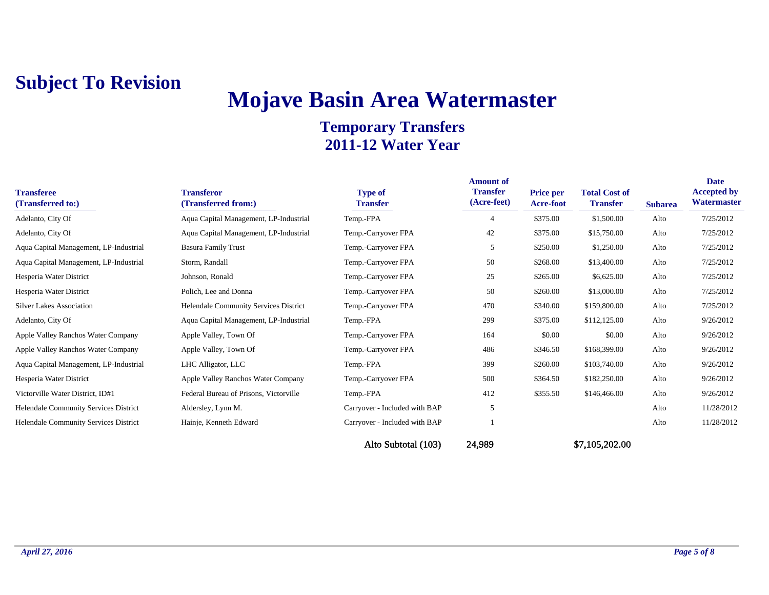# **Mojave Basin Area Watermaster**

### **Temporary Transfers 2011-12 Water Year**

| <b>Transferee</b><br>(Transferred to:)       | <b>Transferor</b><br>(Transferred from:)     | <b>Type of</b><br><b>Transfer</b> | <b>Amount of</b><br><b>Transfer</b><br>(Acre-feet) | <b>Price per</b><br><b>Acre-foot</b> | <b>Total Cost of</b><br><b>Transfer</b> | <b>Subarea</b> | Date<br><b>Accepted by</b><br>Watermaster |
|----------------------------------------------|----------------------------------------------|-----------------------------------|----------------------------------------------------|--------------------------------------|-----------------------------------------|----------------|-------------------------------------------|
| Adelanto, City Of                            | Aqua Capital Management, LP-Industrial       | Temp.-FPA                         |                                                    | \$375.00                             | \$1,500.00                              | Alto           | 7/25/2012                                 |
| Adelanto, City Of                            | Aqua Capital Management, LP-Industrial       | Temp.-Carryover FPA               | 42                                                 | \$375.00                             | \$15,750.00                             | Alto           | 7/25/2012                                 |
| Aqua Capital Management, LP-Industrial       | <b>Basura Family Trust</b>                   | Temp.-Carryover FPA               | 5                                                  | \$250.00                             | \$1,250.00                              | Alto           | 7/25/2012                                 |
| Aqua Capital Management, LP-Industrial       | Storm, Randall                               | Temp.-Carryover FPA               | 50                                                 | \$268.00                             | \$13,400.00                             | Alto           | 7/25/2012                                 |
| Hesperia Water District                      | Johnson, Ronald                              | Temp.-Carryover FPA               | 25                                                 | \$265.00                             | \$6,625.00                              | Alto           | 7/25/2012                                 |
| Hesperia Water District                      | Polich, Lee and Donna                        | Temp.-Carryover FPA               | 50                                                 | \$260.00                             | \$13,000.00                             | Alto           | 7/25/2012                                 |
| <b>Silver Lakes Association</b>              | <b>Helendale Community Services District</b> | Temp.-Carryover FPA               | 470                                                | \$340.00                             | \$159,800.00                            | Alto           | 7/25/2012                                 |
| Adelanto, City Of                            | Aqua Capital Management, LP-Industrial       | Temp.-FPA                         | 299                                                | \$375.00                             | \$112,125.00                            | Alto           | 9/26/2012                                 |
| Apple Valley Ranchos Water Company           | Apple Valley, Town Of                        | Temp.-Carryover FPA               | 164                                                | \$0.00                               | \$0.00                                  | Alto           | 9/26/2012                                 |
| Apple Valley Ranchos Water Company           | Apple Valley, Town Of                        | Temp.-Carryover FPA               | 486                                                | \$346.50                             | \$168,399.00                            | Alto           | 9/26/2012                                 |
| Aqua Capital Management, LP-Industrial       | LHC Alligator, LLC                           | Temp.-FPA                         | 399                                                | \$260.00                             | \$103,740.00                            | Alto           | 9/26/2012                                 |
| Hesperia Water District                      | Apple Valley Ranchos Water Company           | Temp.-Carryover FPA               | 500                                                | \$364.50                             | \$182,250.00                            | Alto           | 9/26/2012                                 |
| Victorville Water District, ID#1             | Federal Bureau of Prisons, Victorville       | Temp.-FPA                         | 412                                                | \$355.50                             | \$146,466.00                            | Alto           | 9/26/2012                                 |
| Helendale Community Services District        | Aldersley, Lynn M.                           | Carryover - Included with BAP     | 5                                                  |                                      |                                         | Alto           | 11/28/2012                                |
| <b>Helendale Community Services District</b> | Hainje, Kenneth Edward                       | Carryover - Included with BAP     |                                                    |                                      |                                         | Alto           | 11/28/2012                                |

Alto Subtotal (103) 24,989 \$7,105,202.00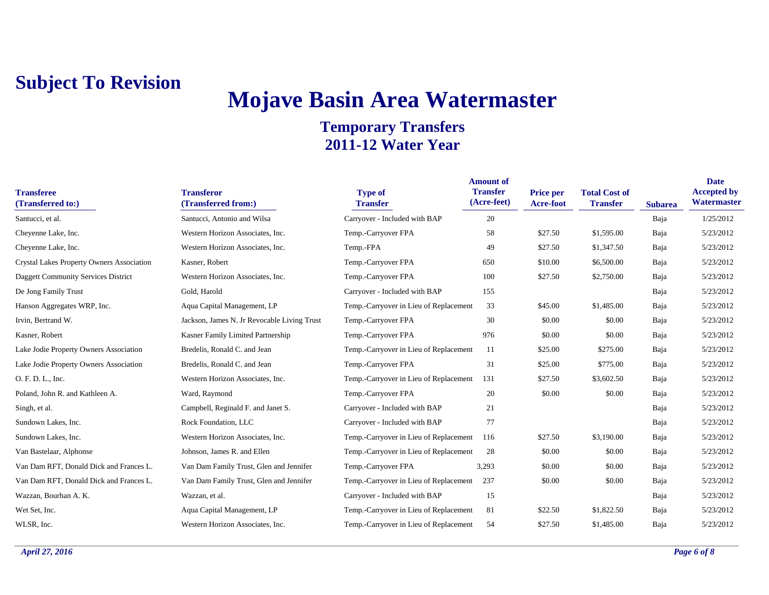# **Mojave Basin Area Watermaster**

| <b>Transferee</b><br>(Transferred to:)     | <b>Transferor</b><br>(Transferred from:)    | <b>Type of</b><br><b>Transfer</b>      | <b>Amount of</b><br><b>Transfer</b><br>(Acre-feet) | <b>Price per</b><br><b>Acre-foot</b> | <b>Total Cost of</b><br><b>Transfer</b> | <b>Subarea</b> | <b>Date</b><br><b>Accepted by</b><br>Watermaster |
|--------------------------------------------|---------------------------------------------|----------------------------------------|----------------------------------------------------|--------------------------------------|-----------------------------------------|----------------|--------------------------------------------------|
| Santucci, et al.                           | Santucci, Antonio and Wilsa                 | Carryover - Included with BAP          | 20                                                 |                                      |                                         | Baja           | 1/25/2012                                        |
| Cheyenne Lake, Inc.                        | Western Horizon Associates, Inc.            | Temp.-Carryover FPA                    | 58                                                 | \$27.50                              | \$1,595.00                              | Baja           | 5/23/2012                                        |
| Cheyenne Lake, Inc.                        | Western Horizon Associates, Inc.            | Temp.-FPA                              | 49                                                 | \$27.50                              | \$1,347.50                              | Baja           | 5/23/2012                                        |
| Crystal Lakes Property Owners Association  | Kasner, Robert                              | Temp.-Carryover FPA                    | 650                                                | \$10.00                              | \$6,500.00                              | Baja           | 5/23/2012                                        |
| <b>Daggett Community Services District</b> | Western Horizon Associates, Inc.            | Temp.-Carryover FPA                    | 100                                                | \$27.50                              | \$2,750.00                              | Baja           | 5/23/2012                                        |
| De Jong Family Trust                       | Gold, Harold                                | Carryover - Included with BAP          | 155                                                |                                      |                                         | Baja           | 5/23/2012                                        |
| Hanson Aggregates WRP, Inc.                | Aqua Capital Management, LP                 | Temp.-Carryover in Lieu of Replacement | 33                                                 | \$45.00                              | \$1,485.00                              | Baja           | 5/23/2012                                        |
| Irvin, Bertrand W.                         | Jackson, James N. Jr Revocable Living Trust | Temp.-Carryover FPA                    | 30                                                 | \$0.00                               | \$0.00                                  | Baja           | 5/23/2012                                        |
| Kasner, Robert                             | Kasner Family Limited Partnership           | Temp.-Carryover FPA                    | 976                                                | \$0.00                               | \$0.00                                  | Baja           | 5/23/2012                                        |
| Lake Jodie Property Owners Association     | Bredelis, Ronald C. and Jean                | Temp.-Carryover in Lieu of Replacement | 11                                                 | \$25.00                              | \$275.00                                | Baja           | 5/23/2012                                        |
| Lake Jodie Property Owners Association     | Bredelis, Ronald C. and Jean                | Temp.-Carryover FPA                    | 31                                                 | \$25.00                              | \$775.00                                | Baja           | 5/23/2012                                        |
| O. F. D. L., Inc.                          | Western Horizon Associates, Inc.            | Temp.-Carryover in Lieu of Replacement | 131                                                | \$27.50                              | \$3,602.50                              | Baja           | 5/23/2012                                        |
| Poland, John R. and Kathleen A.            | Ward, Raymond                               | Temp.-Carryover FPA                    | 20                                                 | \$0.00                               | \$0.00                                  | Baja           | 5/23/2012                                        |
| Singh, et al.                              | Campbell, Reginald F. and Janet S.          | Carryover - Included with BAP          | 21                                                 |                                      |                                         | Baja           | 5/23/2012                                        |
| Sundown Lakes, Inc.                        | Rock Foundation, LLC                        | Carryover - Included with BAP          | 77                                                 |                                      |                                         | Baja           | 5/23/2012                                        |
| Sundown Lakes, Inc.                        | Western Horizon Associates, Inc.            | Temp.-Carryover in Lieu of Replacement | 116                                                | \$27.50                              | \$3,190.00                              | Baja           | 5/23/2012                                        |
| Van Bastelaar, Alphonse                    | Johnson, James R. and Ellen                 | Temp.-Carryover in Lieu of Replacement | 28                                                 | \$0.00                               | \$0.00                                  | Baja           | 5/23/2012                                        |
| Van Dam RFT, Donald Dick and Frances L.    | Van Dam Family Trust, Glen and Jennifer     | Temp.-Carryover FPA                    | 3,293                                              | \$0.00                               | \$0.00                                  | Baja           | 5/23/2012                                        |
| Van Dam RFT, Donald Dick and Frances L.    | Van Dam Family Trust, Glen and Jennifer     | Temp.-Carryover in Lieu of Replacement | 237                                                | \$0.00                               | \$0.00                                  | Baja           | 5/23/2012                                        |
| Wazzan, Bourhan A. K.                      | Wazzan, et al.                              | Carryover - Included with BAP          | 15                                                 |                                      |                                         | Baja           | 5/23/2012                                        |
| Wet Set, Inc.                              | Aqua Capital Management, LP                 | Temp.-Carryover in Lieu of Replacement | 81                                                 | \$22.50                              | \$1,822.50                              | Baja           | 5/23/2012                                        |
| WLSR, Inc.                                 | Western Horizon Associates, Inc.            | Temp.-Carryover in Lieu of Replacement | 54                                                 | \$27.50                              | \$1,485.00                              | Baja           | 5/23/2012                                        |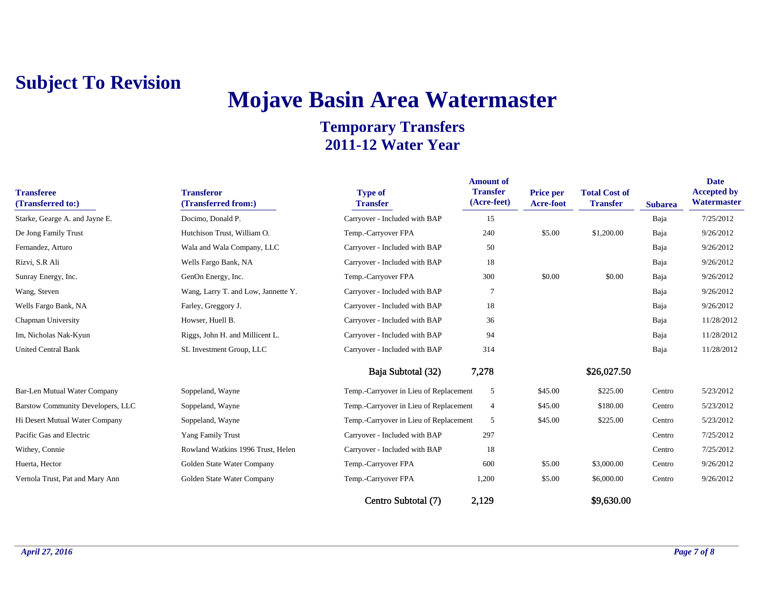# **Mojave Basin Area Watermaster**

| <b>Transferee</b><br>(Transferred to:) | <b>Transferor</b><br>(Transferred from:) | <b>Type of</b><br><b>Transfer</b>      | <b>Amount of</b><br><b>Transfer</b><br>(Acre-feet) | <b>Price per</b><br><b>Acre-foot</b> | <b>Total Cost of</b><br><b>Transfer</b> | <b>Subarea</b> | <b>Date</b><br><b>Accepted by</b><br>Watermaster |
|----------------------------------------|------------------------------------------|----------------------------------------|----------------------------------------------------|--------------------------------------|-----------------------------------------|----------------|--------------------------------------------------|
| Starke, Gearge A. and Jayne E.         | Docimo, Donald P.                        | Carryover - Included with BAP          | 15                                                 |                                      |                                         | Baja           | 7/25/2012                                        |
| De Jong Family Trust                   | Hutchison Trust, William O.              | Temp.-Carryover FPA                    | 240                                                | \$5.00                               | \$1,200.00                              | Baja           | 9/26/2012                                        |
| Fernandez, Arturo                      | Wala and Wala Company, LLC               | Carryover - Included with BAP          | 50                                                 |                                      |                                         | Baja           | 9/26/2012                                        |
| Rizvi, S.R Ali                         | Wells Fargo Bank, NA                     | Carryover - Included with BAP          | 18                                                 |                                      |                                         | Baja           | 9/26/2012                                        |
| Sunray Energy, Inc.                    | GenOn Energy, Inc.                       | Temp.-Carryover FPA                    | 300                                                | \$0.00                               | \$0.00                                  | Baja           | 9/26/2012                                        |
| Wang, Steven                           | Wang, Larry T. and Low, Jannette Y.      | Carryover - Included with BAP          | $\overline{7}$                                     |                                      |                                         | Baja           | 9/26/2012                                        |
| Wells Fargo Bank, NA                   | Farley, Greggory J.                      | Carryover - Included with BAP          | 18                                                 |                                      |                                         | Baja           | 9/26/2012                                        |
| Chapman University                     | Howser, Huell B.                         | Carryover - Included with BAP          | 36                                                 |                                      |                                         | Baja           | 11/28/2012                                       |
| Im, Nicholas Nak-Kyun                  | Riggs, John H. and Millicent L.          | Carryover - Included with BAP          | 94                                                 |                                      |                                         | Baja           | 11/28/2012                                       |
| <b>United Central Bank</b>             | SL Investment Group, LLC                 | Carryover - Included with BAP          | 314                                                |                                      |                                         | Baja           | 11/28/2012                                       |
|                                        |                                          | Baja Subtotal (32)                     | 7,278                                              |                                      | \$26,027.50                             |                |                                                  |
| Bar-Len Mutual Water Company           | Soppeland, Wayne                         | Temp.-Carryover in Lieu of Replacement | 5                                                  | \$45.00                              | \$225.00                                | Centro         | 5/23/2012                                        |
| Barstow Community Developers, LLC      | Soppeland, Wayne                         | Temp.-Carryover in Lieu of Replacement | $\overline{4}$                                     | \$45.00                              | \$180.00                                | Centro         | 5/23/2012                                        |
| Hi Desert Mutual Water Company         | Soppeland, Wayne                         | Temp.-Carryover in Lieu of Replacement | 5                                                  | \$45.00                              | \$225.00                                | Centro         | 5/23/2012                                        |
| Pacific Gas and Electric               | Yang Family Trust                        | Carryover - Included with BAP          | 297                                                |                                      |                                         | Centro         | 7/25/2012                                        |
| Withey, Connie                         | Rowland Watkins 1996 Trust, Helen        | Carryover - Included with BAP          | 18                                                 |                                      |                                         | Centro         | 7/25/2012                                        |
| Huerta, Hector                         | Golden State Water Company               | Temp.-Carryover FPA                    | 600                                                | \$5.00                               | \$3,000.00                              | Centro         | 9/26/2012                                        |
| Vernola Trust, Pat and Mary Ann        | Golden State Water Company               | Temp.-Carryover FPA                    | 1,200                                              | \$5.00                               | \$6,000.00                              | Centro         | 9/26/2012                                        |
|                                        |                                          | Centro Subtotal (7)                    | 2,129                                              |                                      | \$9,630.00                              |                |                                                  |